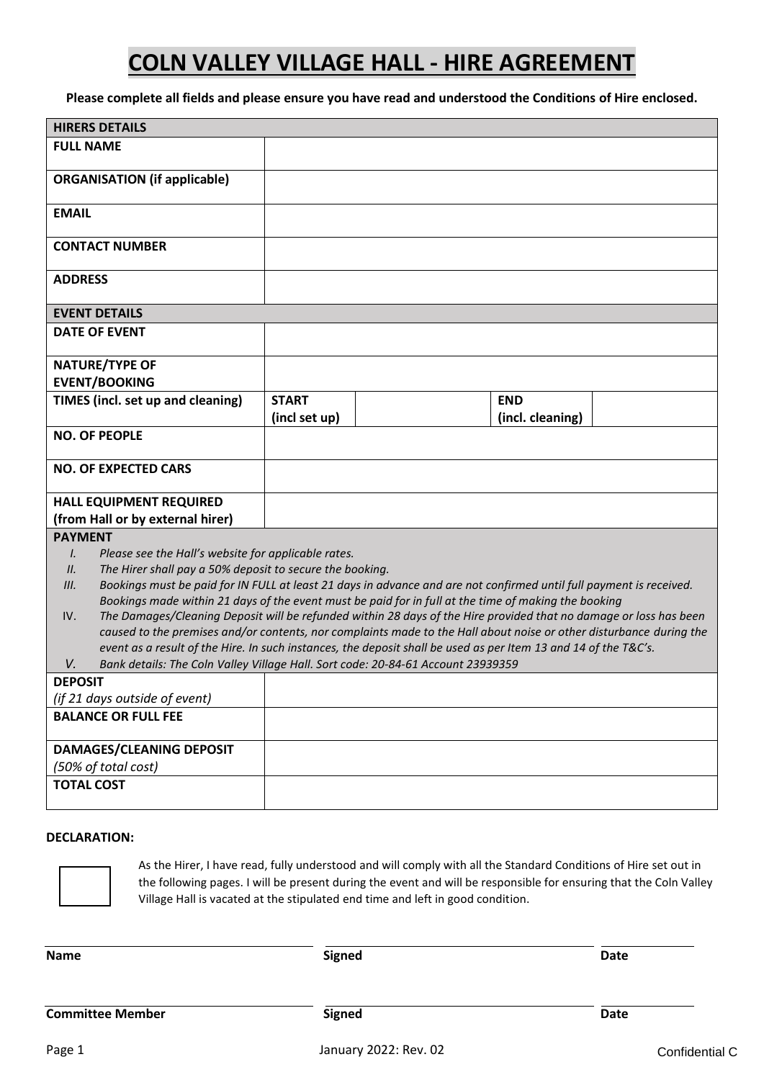**Please complete all fields and please ensure you have read and understood the Conditions of Hire enclosed.**

| <b>HIRERS DETAILS</b>                                                                                                                                                                          |               |  |                                                                                                                     |  |
|------------------------------------------------------------------------------------------------------------------------------------------------------------------------------------------------|---------------|--|---------------------------------------------------------------------------------------------------------------------|--|
| <b>FULL NAME</b>                                                                                                                                                                               |               |  |                                                                                                                     |  |
| <b>ORGANISATION (if applicable)</b>                                                                                                                                                            |               |  |                                                                                                                     |  |
| <b>EMAIL</b>                                                                                                                                                                                   |               |  |                                                                                                                     |  |
| <b>CONTACT NUMBER</b>                                                                                                                                                                          |               |  |                                                                                                                     |  |
| <b>ADDRESS</b>                                                                                                                                                                                 |               |  |                                                                                                                     |  |
| <b>EVENT DETAILS</b>                                                                                                                                                                           |               |  |                                                                                                                     |  |
| <b>DATE OF EVENT</b>                                                                                                                                                                           |               |  |                                                                                                                     |  |
| <b>NATURE/TYPE OF</b>                                                                                                                                                                          |               |  |                                                                                                                     |  |
| <b>EVENT/BOOKING</b>                                                                                                                                                                           |               |  |                                                                                                                     |  |
| TIMES (incl. set up and cleaning)                                                                                                                                                              | <b>START</b>  |  | <b>END</b>                                                                                                          |  |
|                                                                                                                                                                                                | (incl set up) |  | (incl. cleaning)                                                                                                    |  |
| <b>NO. OF PEOPLE</b>                                                                                                                                                                           |               |  |                                                                                                                     |  |
| <b>NO. OF EXPECTED CARS</b>                                                                                                                                                                    |               |  |                                                                                                                     |  |
| <b>HALL EQUIPMENT REQUIRED</b>                                                                                                                                                                 |               |  |                                                                                                                     |  |
| (from Hall or by external hirer)                                                                                                                                                               |               |  |                                                                                                                     |  |
| <b>PAYMENT</b>                                                                                                                                                                                 |               |  |                                                                                                                     |  |
| Please see the Hall's website for applicable rates.<br>$\mathcal{L}$                                                                                                                           |               |  |                                                                                                                     |  |
| The Hirer shall pay a 50% deposit to secure the booking.<br>II.<br>Bookings must be paid for IN FULL at least 21 days in advance and are not confirmed until full payment is received.<br>III. |               |  |                                                                                                                     |  |
| Bookings made within 21 days of the event must be paid for in full at the time of making the booking                                                                                           |               |  |                                                                                                                     |  |
| The Damages/Cleaning Deposit will be refunded within 28 days of the Hire provided that no damage or loss has been<br>IV.                                                                       |               |  |                                                                                                                     |  |
|                                                                                                                                                                                                |               |  | caused to the premises and/or contents, nor complaints made to the Hall about noise or other disturbance during the |  |
| event as a result of the Hire. In such instances, the deposit shall be used as per Item 13 and 14 of the T&C's.                                                                                |               |  |                                                                                                                     |  |
| Bank details: The Coln Valley Village Hall. Sort code: 20-84-61 Account 23939359<br>V.<br><b>DEPOSIT</b>                                                                                       |               |  |                                                                                                                     |  |
| (if 21 days outside of event)                                                                                                                                                                  |               |  |                                                                                                                     |  |
| <b>BALANCE OR FULL FEE</b>                                                                                                                                                                     |               |  |                                                                                                                     |  |
| <b>DAMAGES/CLEANING DEPOSIT</b>                                                                                                                                                                |               |  |                                                                                                                     |  |
| (50% of total cost)                                                                                                                                                                            |               |  |                                                                                                                     |  |
| <b>TOTAL COST</b>                                                                                                                                                                              |               |  |                                                                                                                     |  |
|                                                                                                                                                                                                |               |  |                                                                                                                     |  |

# **DECLARATION:**



As the Hirer, I have read, fully understood and will comply with all the Standard Conditions of Hire set out in the following pages. I will be present during the event and will be responsible for ensuring that the Coln Valley Village Hall is vacated at the stipulated end time and left in good condition.

**Name Signed Signed Date** 

**Committee Member Date Date Date** 

Page 1 Confidential C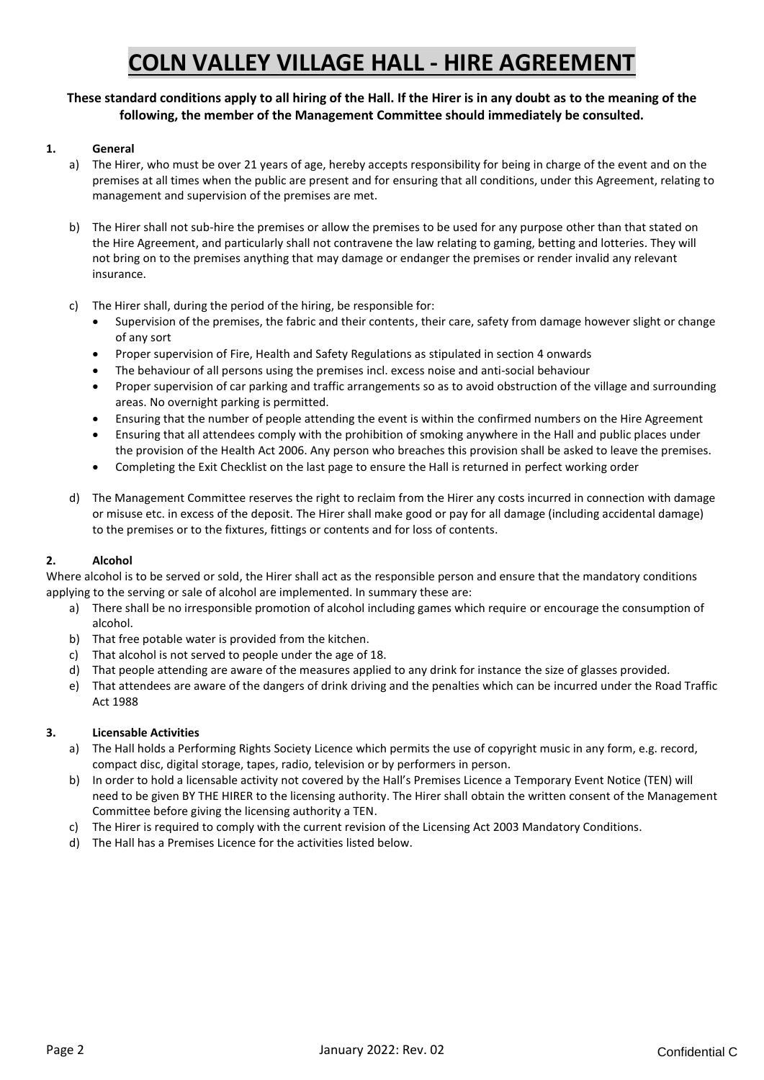# **These standard conditions apply to all hiring of the Hall. If the Hirer is in any doubt as to the meaning of the following, the member of the Management Committee should immediately be consulted.**

### **1. General**

- a) The Hirer, who must be over 21 years of age, hereby accepts responsibility for being in charge of the event and on the premises at all times when the public are present and for ensuring that all conditions, under this Agreement, relating to management and supervision of the premises are met.
- b) The Hirer shall not sub-hire the premises or allow the premises to be used for any purpose other than that stated on the Hire Agreement, and particularly shall not contravene the law relating to gaming, betting and lotteries. They will not bring on to the premises anything that may damage or endanger the premises or render invalid any relevant insurance.
- c) The Hirer shall, during the period of the hiring, be responsible for:
	- Supervision of the premises, the fabric and their contents, their care, safety from damage however slight or change of any sort
	- Proper supervision of Fire, Health and Safety Regulations as stipulated in section 4 onwards
	- The behaviour of all persons using the premises incl. excess noise and anti-social behaviour
	- Proper supervision of car parking and traffic arrangements so as to avoid obstruction of the village and surrounding areas. No overnight parking is permitted.
	- Ensuring that the number of people attending the event is within the confirmed numbers on the Hire Agreement
	- Ensuring that all attendees comply with the prohibition of smoking anywhere in the Hall and public places under the provision of the Health Act 2006. Any person who breaches this provision shall be asked to leave the premises.
	- Completing the Exit Checklist on the last page to ensure the Hall is returned in perfect working order
- d) The Management Committee reserves the right to reclaim from the Hirer any costs incurred in connection with damage or misuse etc. in excess of the deposit. The Hirer shall make good or pay for all damage (including accidental damage) to the premises or to the fixtures, fittings or contents and for loss of contents.

# **2. Alcohol**

Where alcohol is to be served or sold, the Hirer shall act as the responsible person and ensure that the mandatory conditions applying to the serving or sale of alcohol are implemented. In summary these are:

- a) There shall be no irresponsible promotion of alcohol including games which require or encourage the consumption of alcohol.
- b) That free potable water is provided from the kitchen.
- c) That alcohol is not served to people under the age of 18.
- d) That people attending are aware of the measures applied to any drink for instance the size of glasses provided.
- e) That attendees are aware of the dangers of drink driving and the penalties which can be incurred under the Road Traffic Act 1988

#### **3. Licensable Activities**

- a) The Hall holds a Performing Rights Society Licence which permits the use of copyright music in any form, e.g. record, compact disc, digital storage, tapes, radio, television or by performers in person.
- b) In order to hold a licensable activity not covered by the Hall's Premises Licence a Temporary Event Notice (TEN) will need to be given BY THE HIRER to the licensing authority. The Hirer shall obtain the written consent of the Management Committee before giving the licensing authority a TEN.
- c) The Hirer is required to comply with the current revision of the Licensing Act 2003 Mandatory Conditions.
- d) The Hall has a Premises Licence for the activities listed below.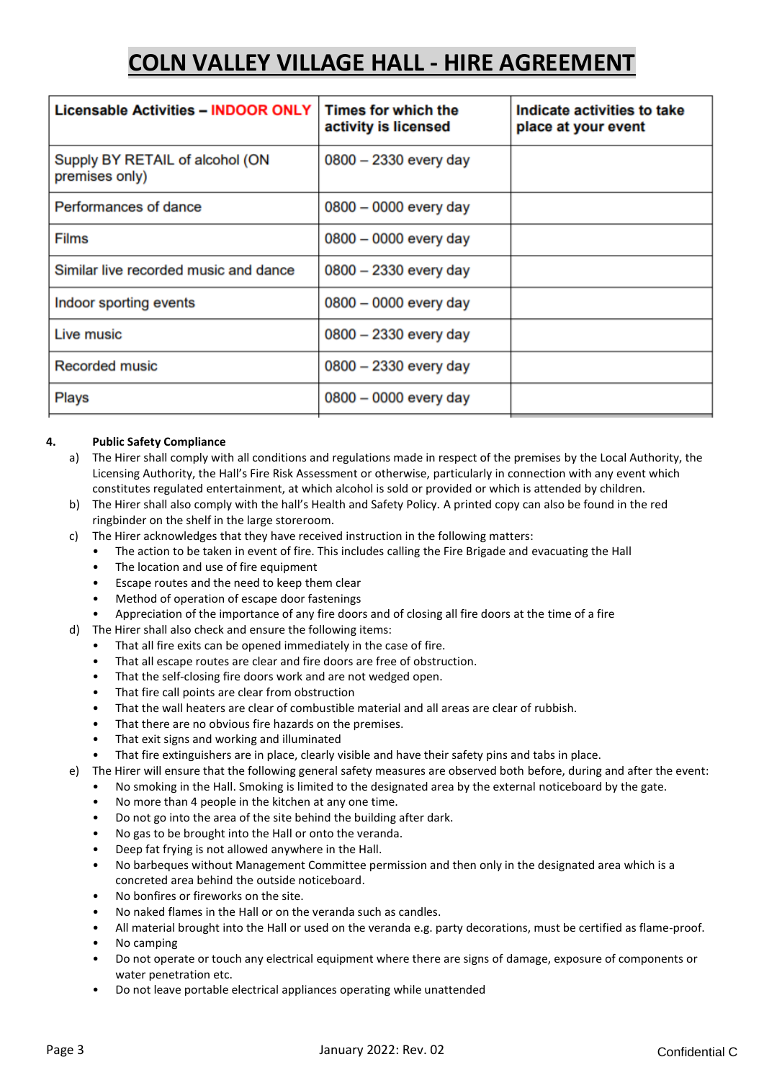| <b>Licensable Activities - INDOOR ONLY</b>        | Times for which the<br>activity is licensed | Indicate activities to take<br>place at your event |
|---------------------------------------------------|---------------------------------------------|----------------------------------------------------|
| Supply BY RETAIL of alcohol (ON<br>premises only) | $0800 - 2330$ every day                     |                                                    |
| Performances of dance                             | $0800 - 0000$ every day                     |                                                    |
| <b>Films</b>                                      | $0800 - 0000$ every day                     |                                                    |
| Similar live recorded music and dance             | $0800 - 2330$ every day                     |                                                    |
| Indoor sporting events                            | $0800 - 0000$ every day                     |                                                    |
| Live music                                        | $0800 - 2330$ every day                     |                                                    |
| <b>Recorded music</b>                             | $0800 - 2330$ every day                     |                                                    |
| Plays                                             | $0800 - 0000$ every day                     |                                                    |

### **4. Public Safety Compliance**

- a) The Hirer shall comply with all conditions and regulations made in respect of the premises by the Local Authority, the Licensing Authority, the Hall's Fire Risk Assessment or otherwise, particularly in connection with any event which constitutes regulated entertainment, at which alcohol is sold or provided or which is attended by children.
- b) The Hirer shall also comply with the hall's Health and Safety Policy. A printed copy can also be found in the red ringbinder on the shelf in the large storeroom.
- c) The Hirer acknowledges that they have received instruction in the following matters:
	- The action to be taken in event of fire. This includes calling the Fire Brigade and evacuating the Hall
		- The location and use of fire equipment
		- Escape routes and the need to keep them clear
		- Method of operation of escape door fastenings
		- Appreciation of the importance of any fire doors and of closing all fire doors at the time of a fire
- d) The Hirer shall also check and ensure the following items:
	- That all fire exits can be opened immediately in the case of fire.
	- That all escape routes are clear and fire doors are free of obstruction.
	- That the self-closing fire doors work and are not wedged open.
	- That fire call points are clear from obstruction
	- That the wall heaters are clear of combustible material and all areas are clear of rubbish.
	- That there are no obvious fire hazards on the premises.
	- That exit signs and working and illuminated
	- That fire extinguishers are in place, clearly visible and have their safety pins and tabs in place.

e) The Hirer will ensure that the following general safety measures are observed both before, during and after the event:

- No smoking in the Hall. Smoking is limited to the designated area by the external noticeboard by the gate.
	- No more than 4 people in the kitchen at any one time.
	- Do not go into the area of the site behind the building after dark.
	- No gas to be brought into the Hall or onto the veranda.
	- Deep fat frying is not allowed anywhere in the Hall.
	- No barbeques without Management Committee permission and then only in the designated area which is a concreted area behind the outside noticeboard.
	- No bonfires or fireworks on the site.
	- No naked flames in the Hall or on the veranda such as candles.
	- All material brought into the Hall or used on the veranda e.g. party decorations, must be certified as flame-proof.
	- No camping
	- Do not operate or touch any electrical equipment where there are signs of damage, exposure of components or water penetration etc.
	- Do not leave portable electrical appliances operating while unattended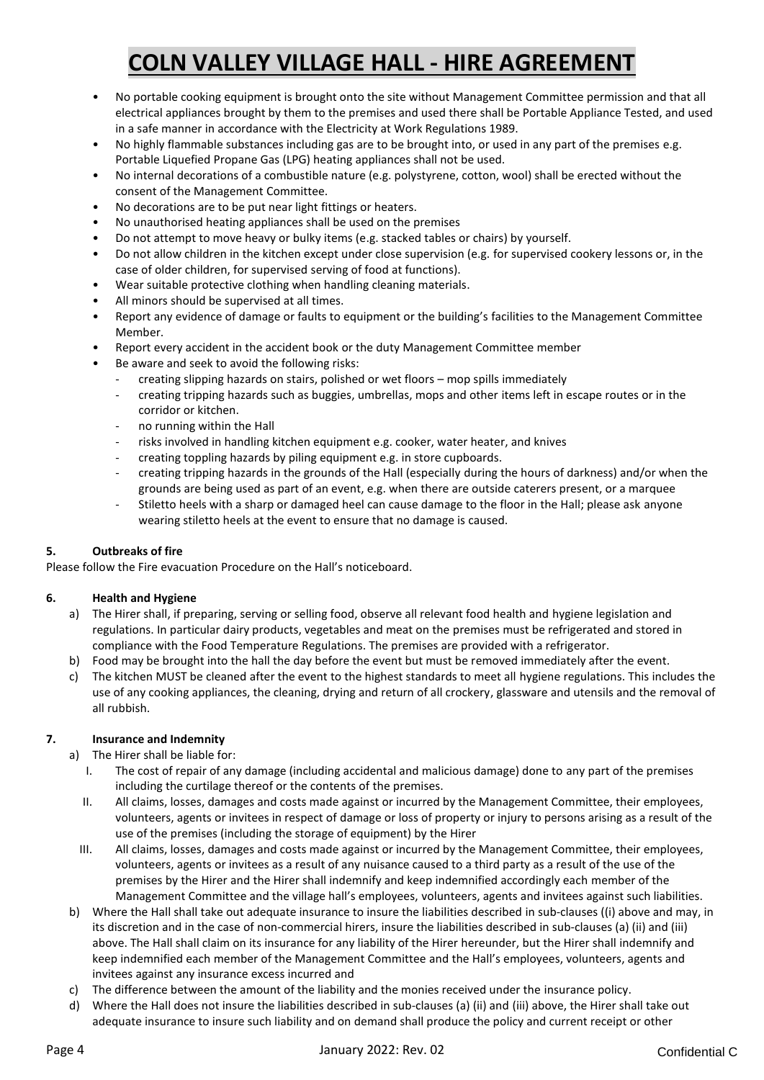- No portable cooking equipment is brought onto the site without Management Committee permission and that all electrical appliances brought by them to the premises and used there shall be Portable Appliance Tested, and used in a safe manner in accordance with the Electricity at Work Regulations 1989.
- No highly flammable substances including gas are to be brought into, or used in any part of the premises e.g. Portable Liquefied Propane Gas (LPG) heating appliances shall not be used.
- No internal decorations of a combustible nature (e.g. polystyrene, cotton, wool) shall be erected without the consent of the Management Committee.
- No decorations are to be put near light fittings or heaters.
- No unauthorised heating appliances shall be used on the premises
- Do not attempt to move heavy or bulky items (e.g. stacked tables or chairs) by yourself.
- Do not allow children in the kitchen except under close supervision (e.g. for supervised cookery lessons or, in the case of older children, for supervised serving of food at functions).
- Wear suitable protective clothing when handling cleaning materials.
- All minors should be supervised at all times.
- Report any evidence of damage or faults to equipment or the building's facilities to the Management Committee Member.
- Report every accident in the accident book or the duty Management Committee member
- Be aware and seek to avoid the following risks:
	- creating slipping hazards on stairs, polished or wet floors mop spills immediately
	- creating tripping hazards such as buggies, umbrellas, mops and other items left in escape routes or in the corridor or kitchen.
	- no running within the Hall
	- risks involved in handling kitchen equipment e.g. cooker, water heater, and knives
	- creating toppling hazards by piling equipment e.g. in store cupboards.
	- creating tripping hazards in the grounds of the Hall (especially during the hours of darkness) and/or when the grounds are being used as part of an event, e.g. when there are outside caterers present, or a marquee
	- Stiletto heels with a sharp or damaged heel can cause damage to the floor in the Hall; please ask anyone wearing stiletto heels at the event to ensure that no damage is caused.

# **5. Outbreaks of fire**

Please follow the Fire evacuation Procedure on the Hall's noticeboard.

#### **6. Health and Hygiene**

- a) The Hirer shall, if preparing, serving or selling food, observe all relevant food health and hygiene legislation and regulations. In particular dairy products, vegetables and meat on the premises must be refrigerated and stored in compliance with the Food Temperature Regulations. The premises are provided with a refrigerator.
- b) Food may be brought into the hall the day before the event but must be removed immediately after the event.
- c) The kitchen MUST be cleaned after the event to the highest standards to meet all hygiene regulations. This includes the use of any cooking appliances, the cleaning, drying and return of all crockery, glassware and utensils and the removal of all rubbish.

# **7. Insurance and Indemnity**

- a) The Hirer shall be liable for:
	- I. The cost of repair of any damage (including accidental and malicious damage) done to any part of the premises including the curtilage thereof or the contents of the premises.
	- II. All claims, losses, damages and costs made against or incurred by the Management Committee, their employees, volunteers, agents or invitees in respect of damage or loss of property or injury to persons arising as a result of the use of the premises (including the storage of equipment) by the Hirer
	- III. All claims, losses, damages and costs made against or incurred by the Management Committee, their employees, volunteers, agents or invitees as a result of any nuisance caused to a third party as a result of the use of the premises by the Hirer and the Hirer shall indemnify and keep indemnified accordingly each member of the Management Committee and the village hall's employees, volunteers, agents and invitees against such liabilities.
- b) Where the Hall shall take out adequate insurance to insure the liabilities described in sub-clauses ((i) above and may, in its discretion and in the case of non-commercial hirers, insure the liabilities described in sub‐clauses (a) (ii) and (iii) above. The Hall shall claim on its insurance for any liability of the Hirer hereunder, but the Hirer shall indemnify and keep indemnified each member of the Management Committee and the Hall's employees, volunteers, agents and invitees against any insurance excess incurred and
- c) The difference between the amount of the liability and the monies received under the insurance policy.
- d) Where the Hall does not insure the liabilities described in sub‐clauses (a) (ii) and (iii) above, the Hirer shall take out adequate insurance to insure such liability and on demand shall produce the policy and current receipt or other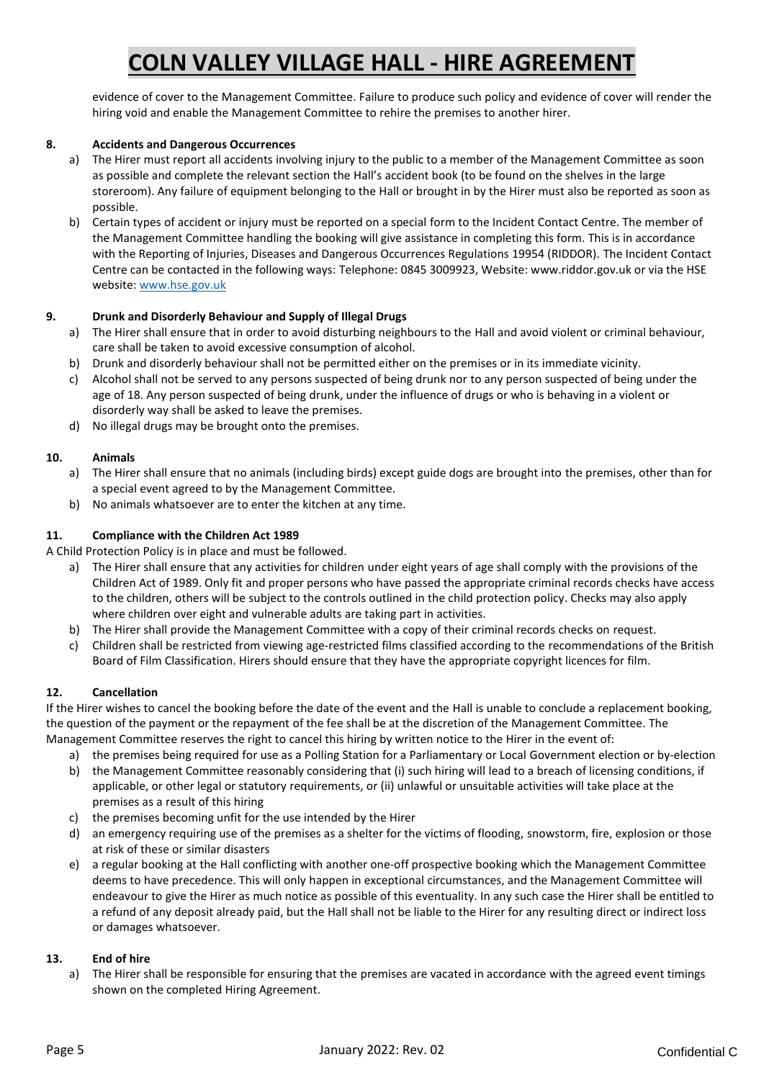evidence of cover to the Management Committee. Failure to produce such policy and evidence of cover will render the hiring void and enable the Management Committee to rehire the premises to another hirer.

### **8. Accidents and Dangerous Occurrences**

- a) The Hirer must report all accidents involving injury to the public to a member of the Management Committee as soon as possible and complete the relevant section the Hall's accident book (to be found on the shelves in the large storeroom). Any failure of equipment belonging to the Hall or brought in by the Hirer must also be reported as soon as possible.
- b) Certain types of accident or injury must be reported on a special form to the Incident Contact Centre. The member of the Management Committee handling the booking will give assistance in completing this form. This is in accordance with the Reporting of Injuries, Diseases and Dangerous Occurrences Regulations 19954 (RIDDOR). The Incident Contact Centre can be contacted in the following ways: Telephone: 0845 3009923, Website: www.riddor.gov.uk or via the HSE website: [www.hse.gov.uk](http://www.hse.gov.uk/)

### **9. Drunk and Disorderly Behaviour and Supply of Illegal Drugs**

- a) The Hirer shall ensure that in order to avoid disturbing neighbours to the Hall and avoid violent or criminal behaviour, care shall be taken to avoid excessive consumption of alcohol.
- b) Drunk and disorderly behaviour shall not be permitted either on the premises or in its immediate vicinity.
- c) Alcohol shall not be served to any persons suspected of being drunk nor to any person suspected of being under the age of 18. Any person suspected of being drunk, under the influence of drugs or who is behaving in a violent or disorderly way shall be asked to leave the premises.
- d) No illegal drugs may be brought onto the premises.

#### **10. Animals**

- a) The Hirer shall ensure that no animals (including birds) except guide dogs are brought into the premises, other than for a special event agreed to by the Management Committee.
- b) No animals whatsoever are to enter the kitchen at any time.

#### **11. Compliance with the Children Act 1989**

A Child Protection Policy is in place and must be followed.

- a) The Hirer shall ensure that any activities for children under eight years of age shall comply with the provisions of the Children Act of 1989. Only fit and proper persons who have passed the appropriate criminal records checks have access to the children, others will be subject to the controls outlined in the child protection policy. Checks may also apply where children over eight and vulnerable adults are taking part in activities.
- b) The Hirer shall provide the Management Committee with a copy of their criminal records checks on request.
- c) Children shall be restricted from viewing age‐restricted films classified according to the recommendations of the British Board of Film Classification. Hirers should ensure that they have the appropriate copyright licences for film.

#### **12. Cancellation**

If the Hirer wishes to cancel the booking before the date of the event and the Hall is unable to conclude a replacement booking, the question of the payment or the repayment of the fee shall be at the discretion of the Management Committee. The Management Committee reserves the right to cancel this hiring by written notice to the Hirer in the event of:

- a) the premises being required for use as a Polling Station for a Parliamentary or Local Government election or by‐election
- b) the Management Committee reasonably considering that (i) such hiring will lead to a breach of licensing conditions, if applicable, or other legal or statutory requirements, or (ii) unlawful or unsuitable activities will take place at the premises as a result of this hiring
- c) the premises becoming unfit for the use intended by the Hirer
- d) an emergency requiring use of the premises as a shelter for the victims of flooding, snowstorm, fire, explosion or those at risk of these or similar disasters
- e) a regular booking at the Hall conflicting with another one‐off prospective booking which the Management Committee deems to have precedence. This will only happen in exceptional circumstances, and the Management Committee will endeavour to give the Hirer as much notice as possible of this eventuality. In any such case the Hirer shall be entitled to a refund of any deposit already paid, but the Hall shall not be liable to the Hirer for any resulting direct or indirect loss or damages whatsoever.

#### **13. End of hire**

a) The Hirer shall be responsible for ensuring that the premises are vacated in accordance with the agreed event timings shown on the completed Hiring Agreement.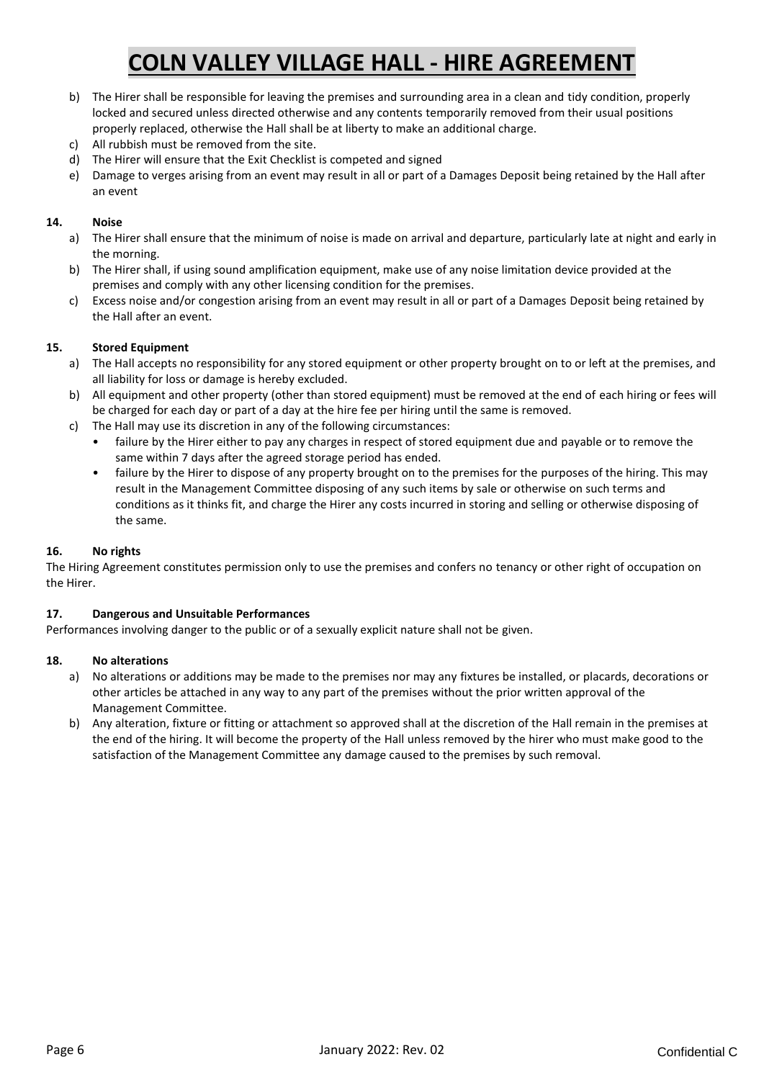- b) The Hirer shall be responsible for leaving the premises and surrounding area in a clean and tidy condition, properly locked and secured unless directed otherwise and any contents temporarily removed from their usual positions properly replaced, otherwise the Hall shall be at liberty to make an additional charge.
- c) All rubbish must be removed from the site.
- d) The Hirer will ensure that the Exit Checklist is competed and signed
- e) Damage to verges arising from an event may result in all or part of a Damages Deposit being retained by the Hall after an event

#### **14. Noise**

- a) The Hirer shall ensure that the minimum of noise is made on arrival and departure, particularly late at night and early in the morning.
- b) The Hirer shall, if using sound amplification equipment, make use of any noise limitation device provided at the premises and comply with any other licensing condition for the premises.
- c) Excess noise and/or congestion arising from an event may result in all or part of a Damages Deposit being retained by the Hall after an event.

### **15. Stored Equipment**

- a) The Hall accepts no responsibility for any stored equipment or other property brought on to or left at the premises, and all liability for loss or damage is hereby excluded.
- b) All equipment and other property (other than stored equipment) must be removed at the end of each hiring or fees will be charged for each day or part of a day at the hire fee per hiring until the same is removed.
- c) The Hall may use its discretion in any of the following circumstances:
	- failure by the Hirer either to pay any charges in respect of stored equipment due and payable or to remove the same within 7 days after the agreed storage period has ended.
	- failure by the Hirer to dispose of any property brought on to the premises for the purposes of the hiring. This may result in the Management Committee disposing of any such items by sale or otherwise on such terms and conditions as it thinks fit, and charge the Hirer any costs incurred in storing and selling or otherwise disposing of the same.

#### **16. No rights**

The Hiring Agreement constitutes permission only to use the premises and confers no tenancy or other right of occupation on the Hirer.

#### **17. Dangerous and Unsuitable Performances**

Performances involving danger to the public or of a sexually explicit nature shall not be given.

#### **18. No alterations**

- a) No alterations or additions may be made to the premises nor may any fixtures be installed, or placards, decorations or other articles be attached in any way to any part of the premises without the prior written approval of the Management Committee.
- b) Any alteration, fixture or fitting or attachment so approved shall at the discretion of the Hall remain in the premises at the end of the hiring. It will become the property of the Hall unless removed by the hirer who must make good to the satisfaction of the Management Committee any damage caused to the premises by such removal.